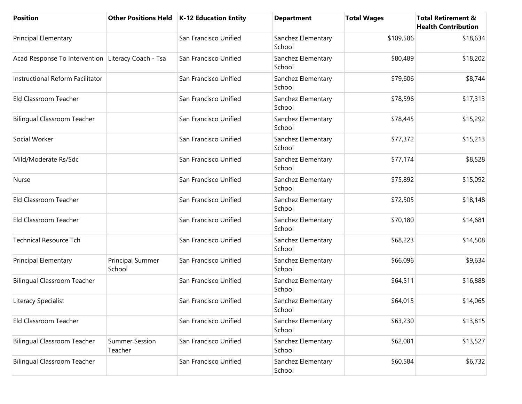| <b>Position</b>                                    | <b>Other Positions Held</b>      | K-12 Education Entity | <b>Department</b>            | <b>Total Wages</b> | <b>Total Retirement &amp;</b><br><b>Health Contribution</b> |
|----------------------------------------------------|----------------------------------|-----------------------|------------------------------|--------------------|-------------------------------------------------------------|
| <b>Principal Elementary</b>                        |                                  | San Francisco Unified | Sanchez Elementary<br>School | \$109,586          | \$18,634                                                    |
| Acad Response To Intervention Literacy Coach - Tsa |                                  | San Francisco Unified | Sanchez Elementary<br>School | \$80,489           | \$18,202                                                    |
| Instructional Reform Facilitator                   |                                  | San Francisco Unified | Sanchez Elementary<br>School | \$79,606           | \$8,744                                                     |
| Eld Classroom Teacher                              |                                  | San Francisco Unified | Sanchez Elementary<br>School | \$78,596           | \$17,313                                                    |
| <b>Bilingual Classroom Teacher</b>                 |                                  | San Francisco Unified | Sanchez Elementary<br>School | \$78,445           | \$15,292                                                    |
| Social Worker                                      |                                  | San Francisco Unified | Sanchez Elementary<br>School | \$77,372           | \$15,213                                                    |
| Mild/Moderate Rs/Sdc                               |                                  | San Francisco Unified | Sanchez Elementary<br>School | \$77,174           | \$8,528                                                     |
| Nurse                                              |                                  | San Francisco Unified | Sanchez Elementary<br>School | \$75,892           | \$15,092                                                    |
| Eld Classroom Teacher                              |                                  | San Francisco Unified | Sanchez Elementary<br>School | \$72,505           | \$18,148                                                    |
| Eld Classroom Teacher                              |                                  | San Francisco Unified | Sanchez Elementary<br>School | \$70,180           | \$14,681                                                    |
| <b>Technical Resource Tch</b>                      |                                  | San Francisco Unified | Sanchez Elementary<br>School | \$68,223           | \$14,508                                                    |
| Principal Elementary                               | Principal Summer<br>School       | San Francisco Unified | Sanchez Elementary<br>School | \$66,096           | \$9,634                                                     |
| <b>Bilingual Classroom Teacher</b>                 |                                  | San Francisco Unified | Sanchez Elementary<br>School | \$64,511           | \$16,888                                                    |
| Literacy Specialist                                |                                  | San Francisco Unified | Sanchez Elementary<br>School | \$64,015           | \$14,065                                                    |
| Eld Classroom Teacher                              |                                  | San Francisco Unified | Sanchez Elementary<br>School | \$63,230           | \$13,815                                                    |
| <b>Bilingual Classroom Teacher</b>                 | <b>Summer Session</b><br>Teacher | San Francisco Unified | Sanchez Elementary<br>School | \$62,081           | \$13,527                                                    |
| <b>Bilingual Classroom Teacher</b>                 |                                  | San Francisco Unified | Sanchez Elementary<br>School | \$60,584           | \$6,732                                                     |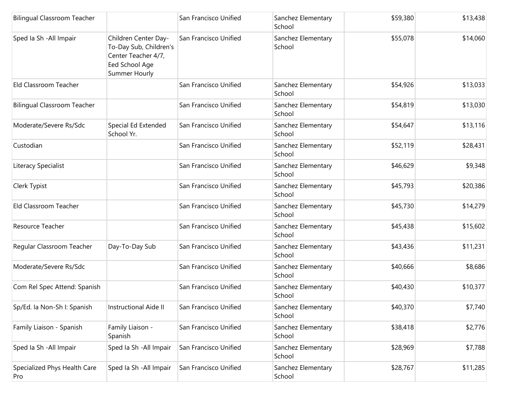| <b>Bilingual Classroom Teacher</b>  |                                                                                                          | San Francisco Unified | Sanchez Elementary<br>School | \$59,380 | \$13,438 |
|-------------------------------------|----------------------------------------------------------------------------------------------------------|-----------------------|------------------------------|----------|----------|
| Sped Ia Sh - All Impair             | Children Center Day-<br>To-Day Sub, Children's<br>Center Teacher 4/7,<br>Eed School Age<br>Summer Hourly | San Francisco Unified | Sanchez Elementary<br>School | \$55,078 | \$14,060 |
| Eld Classroom Teacher               |                                                                                                          | San Francisco Unified | Sanchez Elementary<br>School | \$54,926 | \$13,033 |
| <b>Bilingual Classroom Teacher</b>  |                                                                                                          | San Francisco Unified | Sanchez Elementary<br>School | \$54,819 | \$13,030 |
| Moderate/Severe Rs/Sdc              | Special Ed Extended<br>School Yr.                                                                        | San Francisco Unified | Sanchez Elementary<br>School | \$54,647 | \$13,116 |
| Custodian                           |                                                                                                          | San Francisco Unified | Sanchez Elementary<br>School | \$52,119 | \$28,431 |
| Literacy Specialist                 |                                                                                                          | San Francisco Unified | Sanchez Elementary<br>School | \$46,629 | \$9,348  |
| Clerk Typist                        |                                                                                                          | San Francisco Unified | Sanchez Elementary<br>School | \$45,793 | \$20,386 |
| Eld Classroom Teacher               |                                                                                                          | San Francisco Unified | Sanchez Elementary<br>School | \$45,730 | \$14,279 |
| Resource Teacher                    |                                                                                                          | San Francisco Unified | Sanchez Elementary<br>School | \$45,438 | \$15,602 |
| Regular Classroom Teacher           | Day-To-Day Sub                                                                                           | San Francisco Unified | Sanchez Elementary<br>School | \$43,436 | \$11,231 |
| Moderate/Severe Rs/Sdc              |                                                                                                          | San Francisco Unified | Sanchez Elementary<br>School | \$40,666 | \$8,686  |
| Com Rel Spec Attend: Spanish        |                                                                                                          | San Francisco Unified | Sanchez Elementary<br>School | \$40,430 | \$10,377 |
| Sp/Ed. la Non-Sh I: Spanish         | Instructional Aide II                                                                                    | San Francisco Unified | Sanchez Elementary<br>School | \$40,370 | \$7,740  |
| Family Liaison - Spanish            | Family Liaison -<br>Spanish                                                                              | San Francisco Unified | Sanchez Elementary<br>School | \$38,418 | \$2,776  |
| Sped Ia Sh - All Impair             | Sped Ia Sh - All Impair                                                                                  | San Francisco Unified | Sanchez Elementary<br>School | \$28,969 | \$7,788  |
| Specialized Phys Health Care<br>Pro | Sped Ia Sh - All Impair                                                                                  | San Francisco Unified | Sanchez Elementary<br>School | \$28,767 | \$11,285 |